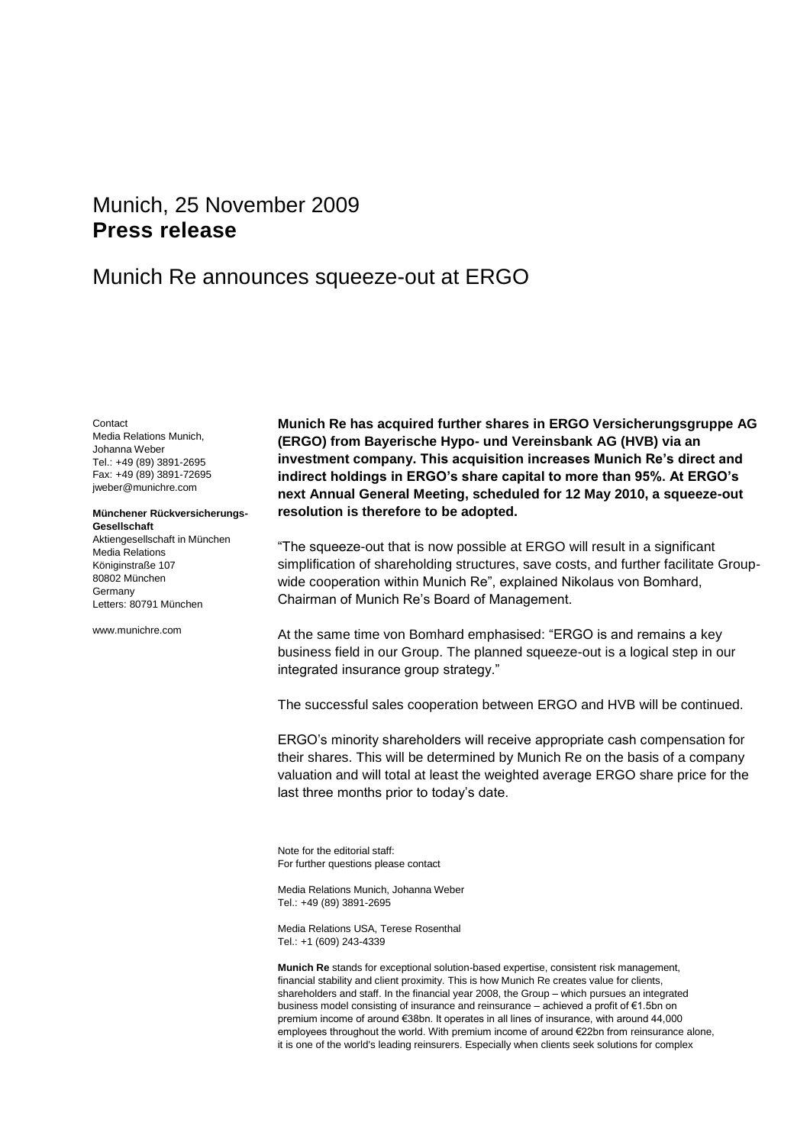# <span id="page-0-2"></span>Munich, 25 November 2009 **Press release**

## Munich Re announces squeeze-out at ERGO

<span id="page-0-1"></span><span id="page-0-0"></span>Contact Media Relations Munich, Johanna Weber Tel.: +49 (89) 3891-2695 Fax: +49 (89) 3891-72695 jweber@munichre.com

## **Münchener Rückversicherungs-Gesellschaft**

Aktiengesellschaft in München Media Relations Königinstraße 107 80802 München Germany Letters: 80791 München

www.munichre.com

**Munich Re has acquired further shares in ERGO Versicherungsgruppe AG (ERGO) from Bayerische Hypo- und Vereinsbank AG (HVB) via an investment company. This acquisition increases Munich Re's direct and indirect holdings in ERGO's share capital to more than 95%. At ERGO's next Annual General Meeting, scheduled for 12 May 2010, a squeeze-out resolution is therefore to be adopted.**

"The squeeze-out that is now possible at ERGO will result in a significant simplification of shareholding structures, save costs, and further facilitate Groupwide cooperation within Munich Re", explained Nikolaus von Bomhard, Chairman of Munich Re's Board of Management.

At the same time von Bomhard emphasised: "ERGO is and remains a key business field in our Group. The planned squeeze-out is a logical step in our integrated insurance group strategy."

The successful sales cooperation between ERGO and HVB will be continued.

ERGO's minority shareholders will receive appropriate cash compensation for their shares. This will be determined by Munich Re on the basis of a company valuation and will total at least the weighted average ERGO share price for the last three months prior to today's date.

Note for the editorial staff: For further questions please contact

Media Relations Munich[, Johanna Weber](#page-0-0) Tel.: +49 (89) 389[1-2695](#page-0-1)

Media Relations USA, Terese Rosenthal Tel.: +1 (609) 243-4339

**Munich Re** stands for exceptional solution-based expertise, consistent risk management, financial stability and client proximity. This is how Munich Re creates value for clients, shareholders and staff. In the financial year 2008, the Group – which pursues an integrated business model consisting of insurance and reinsurance – achieved a profit of €1.5bn on premium income of around €38bn. It operates in all lines of insurance, with around 44,000 employees throughout the world. With premium income of around €22bn from reinsurance alone, it is one of the world's leading reinsurers. Especially when clients seek solutions for complex